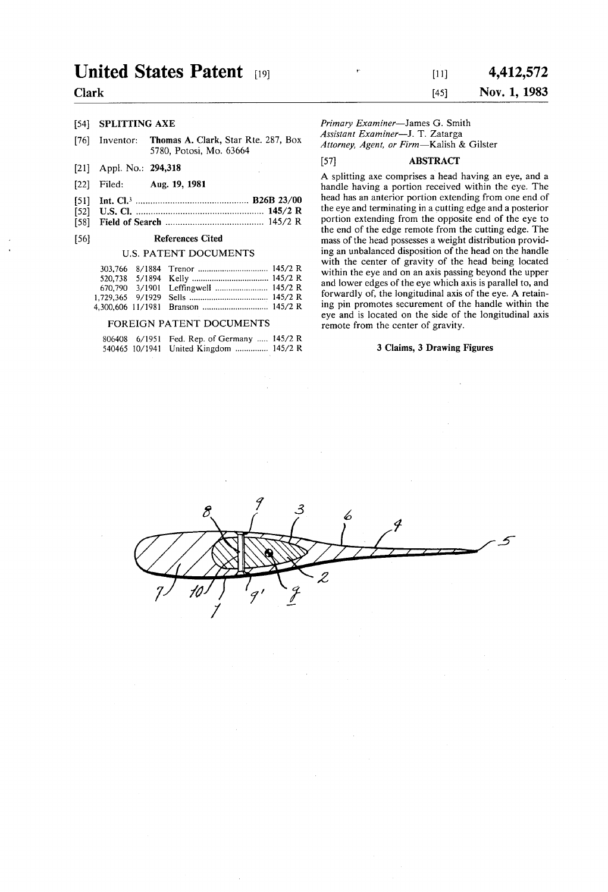## United States Patent [19] (11] 4,412,572

- [76] Inventor: **Thomas A. Clark, Star Rte. 287, Box** Assistant Examiner-J. T. Zatarga 5780, Potosi, Mo. 63664 *Attorney, Agent, or Firm*-Kalish & Gilster
- 
- 
- 
- 

### U.S. PATENT DOCUMENTS

### FOREIGN PATENT DOCUMENTS

|  | 806408 6/1951 Fed. Rep. of Germany  145/2 R |  |
|--|---------------------------------------------|--|
|  | 540465 10/1941 United Kingdom  145/2 R      |  |

# Clark 145] Nov. 1, 1983

[54] SPLITTING AXE Primary Examiner-James G. Smith [54] SPLITTING AXE Primary Examiner-James G. Smith

## [21] Appl. No.: 294,318 [57] ABSTRACT

A splitting axe comprises a head having an eye, and a (22) Filed: Aug. 19, 1981 handle having a portion received within the eye. The handle having a portion received within the eye. The  $R26R23/00$  head has an anterior portion extending from one end of 51) Int. Cl. .............................................. B26B 23/00 head has an anterior portion extending from one end of 52 U.S. C. .................................................... 145/2 R the eye and terminating in a cutting edge and a posterior 58 Field of Search ........................................ 145/2 R portion extending from the opposite end of the eye to  $\frac{1}{2}$  the end of the edge remote from the cutting edge. The<br>References Cited mass of the head possesses a weight distribution provid-56) References Cited mass of the head possesses a weight distribution provid ing an unbalanced disposition of the head on the handle with the center of gravity of the head being located within the eye and on an axis passing beyond the upper and lower edges of the eye which axis is parallel to, and forwardly of, the longitudinal axis of the eye. A retain ing pin promotes securement of the handle within the eye and is located on the side of the longitudinal axis remote from the center of gravity.

### 3 Claims, 3 Drawing Figures

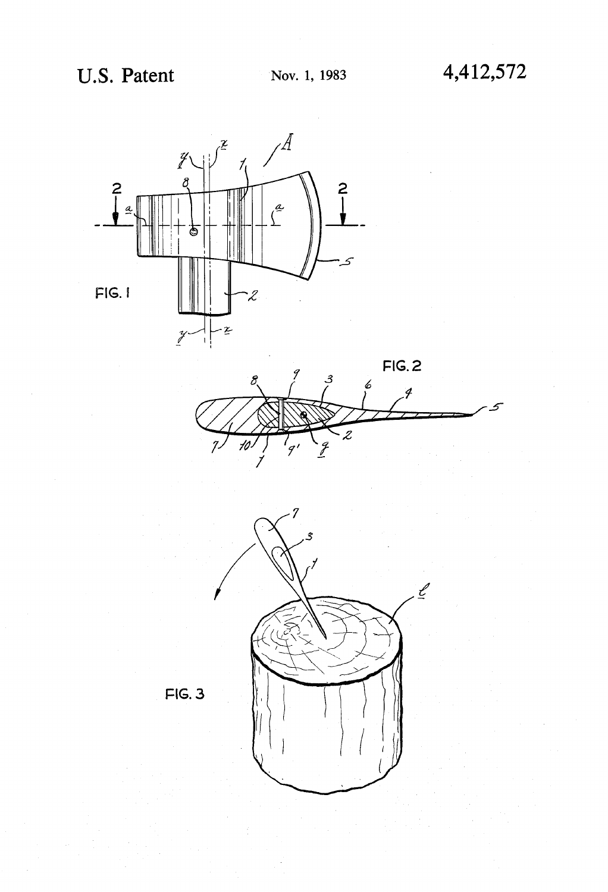





 $FIG. 3$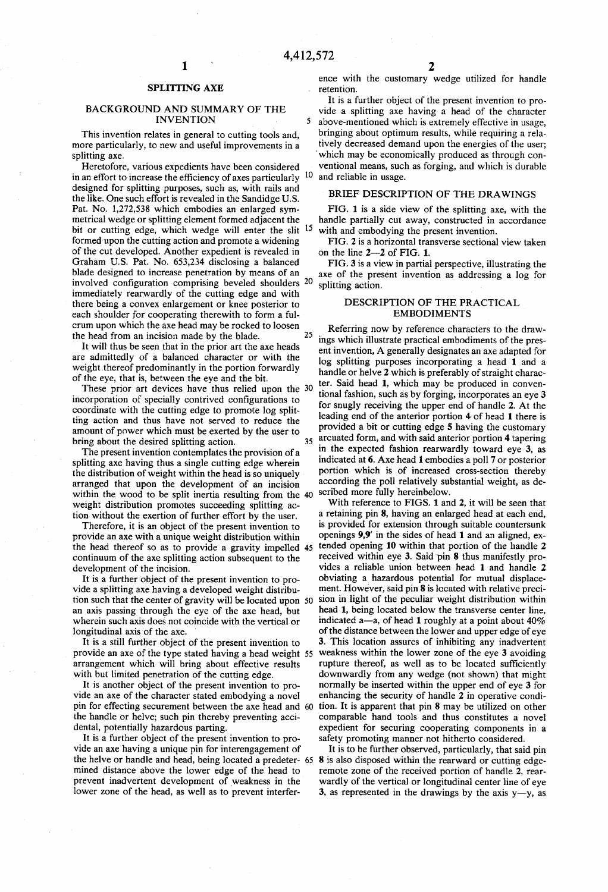## SPLITTING AXE

### BACKGROUND AND SUMMARY OF THE INVENTION 5

This invention relates in general to cutting tools and, more particularly, to new and useful improvements in a splitting axe.

Heretofore, various expedients have been considered<br>an effort to increase the efficiency of axes particularly  $10$ in an effort to increase the efficiency of axes particularly designed for splitting purposes, such as, with rails and the like. One such effort is revealed in the Sandidge U.S.<br>Pat. No. 1,272,538 which embodies an enlarged symmetrical wedge or splitting element formed adjacent the bit or cutting edge, which wedge will enter the slit <sup>15</sup> formed upon the cutting action and promote a widening of the cut developed. Another expedient is revealed in Graham U.S. Pat. No. 653,234 disclosing a balanced blade designed to increase penetration by means of an involved configuration comprising beveled shoulders <sup>20</sup> immediately rearwardly of the cutting edge and with there being a convex enlargement or knee posterior to each shoulder for cooperating therewith to form a fulcrum upon which the axe head may be rocked to loosen<br>the head from an incision made by the hlade 25 the head from an incision made by the blade.

It will thus be seen that in the prior art the axe heads are admittedly of a balanced character or with the weight thereof predominantly in the portion forwardly of the eye, that is, between the eye and the bit.

These prior art devices have thus relied upon the 30 incorporation of specially contrived configurations to coordinate with the cutting edge to promote log split ting action and thus have not served to reduce the amount of power which must be exerted by the user to<br>hring about the desired splitting action

The present invention contemplates the provision of a splitting axe having thus a single cutting edge wherein<br>the distribution of weight within the head is so uniquely arranged that upon the development of an incision within the wood to be split inertia resulting from the 40 weight distribution promotes succeeding splitting ac tion without the exertion of further effort by the user.

Therefore, it is an object of the present invention to provide an axe with a unique weight distribution within the head thereof so as to provide a gravity impelled 45 continuum of the axe splitting action subsequent to the development of the incision.<br>It is a further object of the present invention to pro-

vide a splitting axe having a developed weight distribution such that the center of gravity will be located upon 50 an axis passing through the eye of the axe head, but wherein such axis does not coincide with the vertical or longitudinal axis of the axe.

It is a still further object of the present invention to provide an axe of the type stated having a head weight 55 arrangement which will bring about effective results with but limited penetration of the cutting edge.<br>It is another object of the present invention to pro-

vide an axe of the character stated embodying a novel pin for effecting securement between the axe head and 60 tion. It is apparent that pin 8 may be utilized on other the handle or helve; such pin thereby preventing acci

dental, potentially hazardous parting.<br>It is a further object of the present invention to provide an axe having a unique pin for interengagement of It is to be further observed, particularly, that said pin the helve or handle and head, being located a predeter- 65 8 is also disposed within the rearward or cutting edgemined distance above the lower edge of the head to prevent inadvertent development of weakness in the lower zone of the head, as well as to prevent interfer

ence with the customary wedge utilized for handle retention.

It is a further object of the present invention to provide a splitting axe having a head of the character above-mentioned which is extremely effective in usage. bringing about optimum results, while requiring a relatively decreased demand upon the energies of the user; which may be economically produced as through con ventional means, such as forging, and which is durable and reliable in usage.

### BRIEF DESCRIPTION OF THE DRAWINGS

FIG. 1 is a side view of the splitting axe, with the handle partially cut away, constructed in accordance with and embodying the present invention.

FIG. 2 is a horizontal transverse sectional view taken on the line 2-2 of FIG. 1.

FIG. 3 is a view in partial perspective, illustrating the axe of the present invention as addressing a log for splitting action.

### DESCRIPTION OF THE PRACTICAL EMBODIMENTS

bring about the desired splitting action.<br>35 arcuated form, and with said anterior portion 4 tapering<br>35 arcuated form, and with said anterior portion 4 tapering Referring now by reference characters to the draw ings which illustrate practical embodiments of the pres ent invention, A generally designates an axe adapted for log splitting purposes incorporating a head 1 and a handle or helve 2 which is preferably of straight character. Said head 1, which may be produced in conven tional fashion, such as by forging, incorporates an eye 3 for snugly receiving the upper end of handle 2. At the leading end of the anterior portion 4 of head 1 there is provided a bit or cutting edge 5 having the customary in the expected fashion rearwardly toward eye 3, as indicated at  $6$ . Axe head 1 embodies a poll 7 or posterior portion which is of increased cross-section thereby according the poll relatively substantial weight, as described more fully hereinbelow.

> With reference to FIGS. 1 and 2, it will be seen that a retaining pin 8, having an enlarged head at each end, is provided for extension through suitable countersunk openings 9,9' in the sides of head 1 and an aligned, extended opening 10 within that portion of the handle 2 received within eye 3. Said pin 8 thus manifestly pro vides a reliable union between head 1 and handle 2 obviating a hazardous potential for mutual displacement. However, said pin 8 is located with relative precision in light of the peculiar weight distribution within head 1, being located below the transverse center line. indicated a-a, of head 1 roughly at a point about  $40\%$ <br>of the distance between the lower and upper edge of eye 3. This location assures of inhibiting any inadvertent weakness within the lower zone of the eye 3 avoiding<br>rupture thereof, as well as to be located sufficiently downwardly from any wedge (not shown) that might normally be inserted within the upper end of eye 3 for enhancing the security of handle 2 in operative condi comparable hand tools and thus constitutes a novel expedient for securing cooperating components in a safety promoting manner not hitherto considered.<br>It is to be further observed, particularly, that said pin

remote zone of the received portion of handle 2, rear-<br>wardly of the vertical or longitudinal center line of eye 3, as represented in the drawings by the axis y-y, as